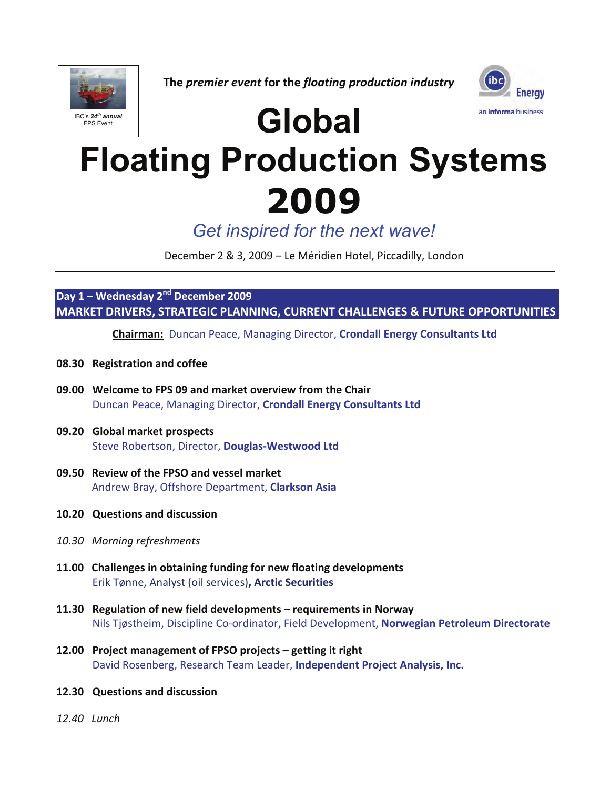

**The** *premier event* **for the** *floating production industry*



# **Global**

# **Floating Production Systems 2009**

*Get inspired for the next wave!*

December 2 & 3, 2009 – Le Méridien Hotel, Piccadilly, London

**Day 1 – Wednesday 2nd December 2009 MARKET DRIVERS, STRATEGIC PLANNING, CURRENT CHALLENGES & FUTURE OPPORTUNITIES** 

**Chairman:** Duncan Peace, Managing Director, **Crondall Energy Consultants Ltd** 

- **08.30 Registration and coffee**
- **09.00 Welcome to FPS 09 and market overview from the Chair**  Duncan Peace, Managing Director, **Crondall Energy Consultants Ltd**
- **09.20 Global market prospects**  Steve Robertson, Director, **Douglas-Westwood Ltd**
- **09.50 Review of the FPSO and vessel market**  Andrew Bray, Offshore Department, **Clarkson Asia**
- **10.20 Questions and discussion**
- *10.30 Morning refreshments*
- **11.00 Challenges in obtaining funding for new floating developments**  Erik Tønne, Analyst (oil services)**, Arctic Securities**
- **11.30 Regulation of new field developments requirements in Norway**  Nils Tjøstheim, Discipline Co-ordinator, Field Development, **Norwegian Petroleum Directorate**
- **12.00 Project management of FPSO projects getting it right**  David Rosenberg, Research Team Leader, **Independent Project Analysis, Inc.**
- **12.30 Questions and discussion**
- *12.40 Lunch*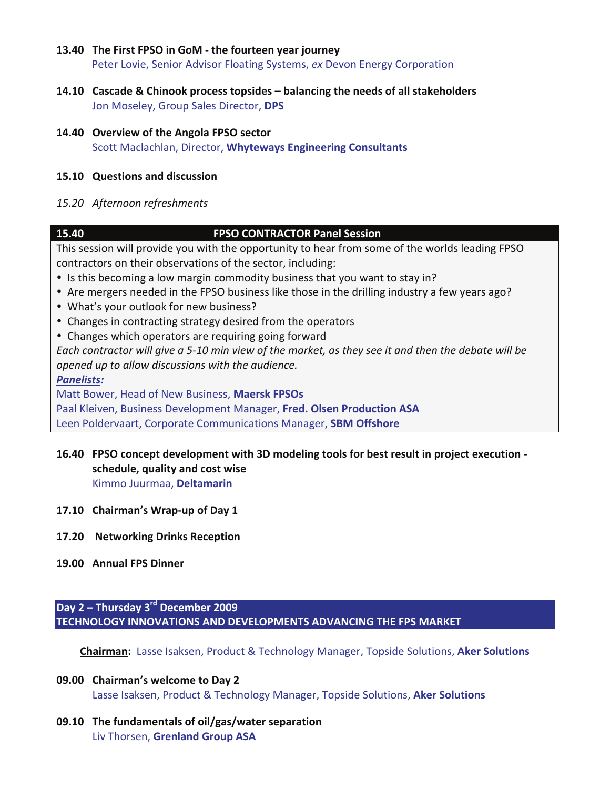#### **13.40 The First FPSO in GoM - the fourteen year journey**

Peter Lovie, Senior Advisor Floating Systems, *ex* Devon Energy Corporation

- **14.10 Cascade & Chinook process topsides balancing the needs of all stakeholders**  Jon Moseley, Group Sales Director, **DPS**
- **14.40 Overview of the Angola FPSO sector**  Scott Maclachlan, Director, **Whyteways Engineering Consultants**

### **15.10 Questions and discussion**

#### *15.20 Afternoon refreshments*

### **15.40 FPSO CONTRACTOR Panel Session**

This session will provide you with the opportunity to hear from some of the worlds leading FPSO contractors on their observations of the sector, including:

- Is this becoming a low margin commodity business that you want to stay in?
- Are mergers needed in the FPSO business like those in the drilling industry a few years ago?
- What's your outlook for new business?
- Changes in contracting strategy desired from the operators
- Changes which operators are requiring going forward

*Each contractor will give a 5-10 min view of the market, as they see it and then the debate will be opened up to allow discussions with the audience.* 

*Panelists:* 

Matt Bower, Head of New Business, **Maersk FPSOs** 

Paal Kleiven, Business Development Manager, **Fred. Olsen Production ASA** 

Leen Poldervaart, Corporate Communications Manager, **SBM Offshore** 

- **16.40 FPSO concept development with 3D modeling tools for best result in project execution schedule, quality and cost wise**  Kimmo Juurmaa, **Deltamarin**
- **17.10 Chairman's Wrap-up of Day 1**
- **17.20 Networking Drinks Reception**
- **19.00 Annual FPS Dinner**

## **Day 2 – Thursday 3rd December 2009 TECHNOLOGY INNOVATIONS AND DEVELOPMENTS ADVANCING THE FPS MARKET**

**Chairman:** Lasse Isaksen, Product & Technology Manager, Topside Solutions, **Aker Solutions** 

- **09.00 Chairman's welcome to Day 2**  Lasse Isaksen, Product & Technology Manager, Topside Solutions, **Aker Solutions**
- **09.10 The fundamentals of oil/gas/water separation**  Liv Thorsen, **Grenland Group ASA**